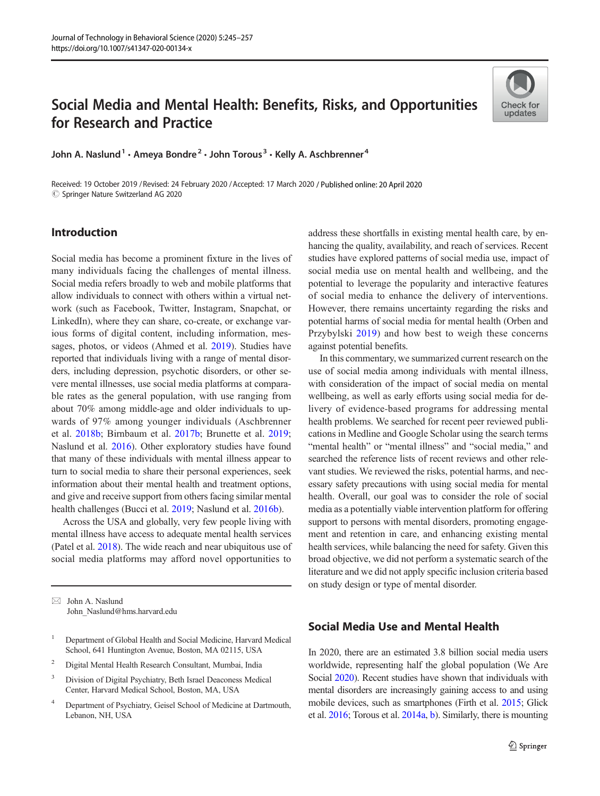# Social Media and Mental Health: Benefits, Risks, and Opportunities for Research and Practice

John A. Naslund<sup>1</sup> · Ameya Bondre<sup>2</sup> · John Torous<sup>3</sup> · Kelly A. Aschbrenner<sup>4</sup>

Received: 19 October 2019 / Revised: 24 February 2020 /Accepted: 17 March 2020 / Published online: 20 April 2020  $\circled{c}$  Springer Nature Switzerland AG 2020

# Introduction

Social media has become a prominent fixture in the lives of many individuals facing the challenges of mental illness. Social media refers broadly to web and mobile platforms that allow individuals to connect with others within a virtual network (such as Facebook, Twitter, Instagram, Snapchat, or LinkedIn), where they can share, co-create, or exchange various forms of digital content, including information, messages, photos, or videos (Ahmed et al. [2019](#page-9-0)). Studies have reported that individuals living with a range of mental disorders, including depression, psychotic disorders, or other severe mental illnesses, use social media platforms at comparable rates as the general population, with use ranging from about 70% among middle-age and older individuals to upwards of 97% among younger individuals (Aschbrenner et al. [2018b;](#page-9-0) Birnbaum et al. [2017b](#page-9-0); Brunette et al. [2019](#page-9-0); Naslund et al. [2016](#page-11-0)). Other exploratory studies have found that many of these individuals with mental illness appear to turn to social media to share their personal experiences, seek information about their mental health and treatment options, and give and receive support from others facing similar mental health challenges (Bucci et al. [2019](#page-9-0); Naslund et al. [2016b](#page-11-0)).

Across the USA and globally, very few people living with mental illness have access to adequate mental health services (Patel et al. [2018](#page-11-0)). The wide reach and near ubiquitous use of social media platforms may afford novel opportunities to

 $\boxtimes$  John A. Naslund [John\\_Naslund@hms.harvard.edu](mailto:John_Naslund@hms.harvard.edu)

- <sup>1</sup> Department of Global Health and Social Medicine, Harvard Medical School, 641 Huntington Avenue, Boston, MA 02115, USA
- <sup>2</sup> Digital Mental Health Research Consultant, Mumbai, India
- <sup>3</sup> Division of Digital Psychiatry, Beth Israel Deaconess Medical Center, Harvard Medical School, Boston, MA, USA
- <sup>4</sup> Department of Psychiatry, Geisel School of Medicine at Dartmouth, Lebanon, NH, USA

address these shortfalls in existing mental health care, by enhancing the quality, availability, and reach of services. Recent studies have explored patterns of social media use, impact of social media use on mental health and wellbeing, and the potential to leverage the popularity and interactive features of social media to enhance the delivery of interventions. However, there remains uncertainty regarding the risks and potential harms of social media for mental health (Orben and Przybylski [2019](#page-11-0)) and how best to weigh these concerns against potential benefits.

In this commentary, we summarized current research on the use of social media among individuals with mental illness, with consideration of the impact of social media on mental wellbeing, as well as early efforts using social media for delivery of evidence-based programs for addressing mental health problems. We searched for recent peer reviewed publications in Medline and Google Scholar using the search terms "mental health" or "mental illness" and "social media," and searched the reference lists of recent reviews and other relevant studies. We reviewed the risks, potential harms, and necessary safety precautions with using social media for mental health. Overall, our goal was to consider the role of social media as a potentially viable intervention platform for offering support to persons with mental disorders, promoting engagement and retention in care, and enhancing existing mental health services, while balancing the need for safety. Given this broad objective, we did not perform a systematic search of the literature and we did not apply specific inclusion criteria based on study design or type of mental disorder.

# Social Media Use and Mental Health

In 2020, there are an estimated 3.8 billion social media users worldwide, representing half the global population (We Are Social [2020\)](#page-12-0). Recent studies have shown that individuals with mental disorders are increasingly gaining access to and using mobile devices, such as smartphones (Firth et al. [2015](#page-10-0); Glick et al. [2016;](#page-10-0) Torous et al. [2014a](#page-11-0), [b\)](#page-11-0). Similarly, there is mounting

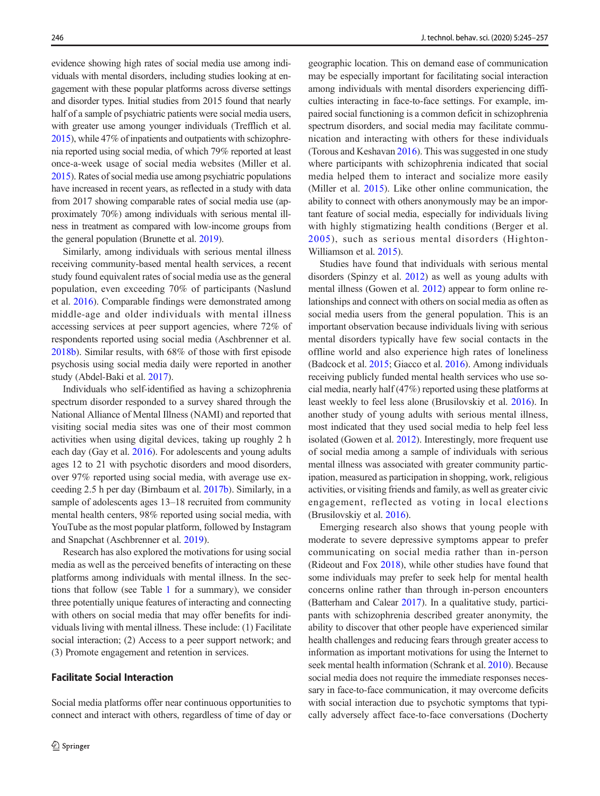evidence showing high rates of social media use among individuals with mental disorders, including studies looking at engagement with these popular platforms across diverse settings and disorder types. Initial studies from 2015 found that nearly half of a sample of psychiatric patients were social media users, with greater use among younger individuals (Trefflich et al. [2015](#page-11-0)), while 47% of inpatients and outpatients with schizophrenia reported using social media, of which 79% reported at least once-a-week usage of social media websites (Miller et al. [2015](#page-10-0)). Rates of social media use among psychiatric populations have increased in recent years, as reflected in a study with data from 2017 showing comparable rates of social media use (approximately 70%) among individuals with serious mental illness in treatment as compared with low-income groups from the general population (Brunette et al. [2019\)](#page-9-0).

Similarly, among individuals with serious mental illness receiving community-based mental health services, a recent study found equivalent rates of social media use as the general population, even exceeding 70% of participants (Naslund et al. [2016\)](#page-11-0). Comparable findings were demonstrated among middle-age and older individuals with mental illness accessing services at peer support agencies, where 72% of respondents reported using social media (Aschbrenner et al. [2018b](#page-9-0)). Similar results, with 68% of those with first episode psychosis using social media daily were reported in another study (Abdel-Baki et al. [2017\)](#page-9-0).

Individuals who self-identified as having a schizophrenia spectrum disorder responded to a survey shared through the National Alliance of Mental Illness (NAMI) and reported that visiting social media sites was one of their most common activities when using digital devices, taking up roughly 2 h each day (Gay et al. [2016\)](#page-10-0). For adolescents and young adults ages 12 to 21 with psychotic disorders and mood disorders, over 97% reported using social media, with average use exceeding 2.5 h per day (Birnbaum et al. [2017b\)](#page-9-0). Similarly, in a sample of adolescents ages 13–18 recruited from community mental health centers, 98% reported using social media, with YouTube as the most popular platform, followed by Instagram and Snapchat (Aschbrenner et al. [2019](#page-9-0)).

Research has also explored the motivations for using social media as well as the perceived benefits of interacting on these platforms among individuals with mental illness. In the sections that follow (see Table [1](#page-2-0) for a summary), we consider three potentially unique features of interacting and connecting with others on social media that may offer benefits for individuals living with mental illness. These include: (1) Facilitate social interaction; (2) Access to a peer support network; and (3) Promote engagement and retention in services.

### Facilitate Social Interaction

Social media platforms offer near continuous opportunities to connect and interact with others, regardless of time of day or geographic location. This on demand ease of communication may be especially important for facilitating social interaction among individuals with mental disorders experiencing difficulties interacting in face-to-face settings. For example, impaired social functioning is a common deficit in schizophrenia spectrum disorders, and social media may facilitate communication and interacting with others for these individuals (Torous and Keshavan [2016\)](#page-11-0). This was suggested in one study where participants with schizophrenia indicated that social media helped them to interact and socialize more easily (Miller et al. [2015](#page-10-0)). Like other online communication, the ability to connect with others anonymously may be an important feature of social media, especially for individuals living with highly stigmatizing health conditions (Berger et al. [2005\)](#page-9-0), such as serious mental disorders (Highton-Williamson et al. [2015\)](#page-10-0).

Studies have found that individuals with serious mental disorders (Spinzy et al. [2012\)](#page-11-0) as well as young adults with mental illness (Gowen et al. [2012](#page-10-0)) appear to form online relationships and connect with others on social media as often as social media users from the general population. This is an important observation because individuals living with serious mental disorders typically have few social contacts in the offline world and also experience high rates of loneliness (Badcock et al. [2015](#page-9-0); Giacco et al. [2016\)](#page-10-0). Among individuals receiving publicly funded mental health services who use social media, nearly half (47%) reported using these platforms at least weekly to feel less alone (Brusilovskiy et al. [2016](#page-9-0)). In another study of young adults with serious mental illness, most indicated that they used social media to help feel less isolated (Gowen et al. [2012](#page-10-0)). Interestingly, more frequent use of social media among a sample of individuals with serious mental illness was associated with greater community participation, measured as participation in shopping, work, religious activities, or visiting friends and family, as well as greater civic engagement, reflected as voting in local elections (Brusilovskiy et al. [2016](#page-9-0)).

Emerging research also shows that young people with moderate to severe depressive symptoms appear to prefer communicating on social media rather than in-person (Rideout and Fox [2018\)](#page-11-0), while other studies have found that some individuals may prefer to seek help for mental health concerns online rather than through in-person encounters (Batterham and Calear [2017](#page-9-0)). In a qualitative study, participants with schizophrenia described greater anonymity, the ability to discover that other people have experienced similar health challenges and reducing fears through greater access to information as important motivations for using the Internet to seek mental health information (Schrank et al. [2010](#page-11-0)). Because social media does not require the immediate responses necessary in face-to-face communication, it may overcome deficits with social interaction due to psychotic symptoms that typically adversely affect face-to-face conversations (Docherty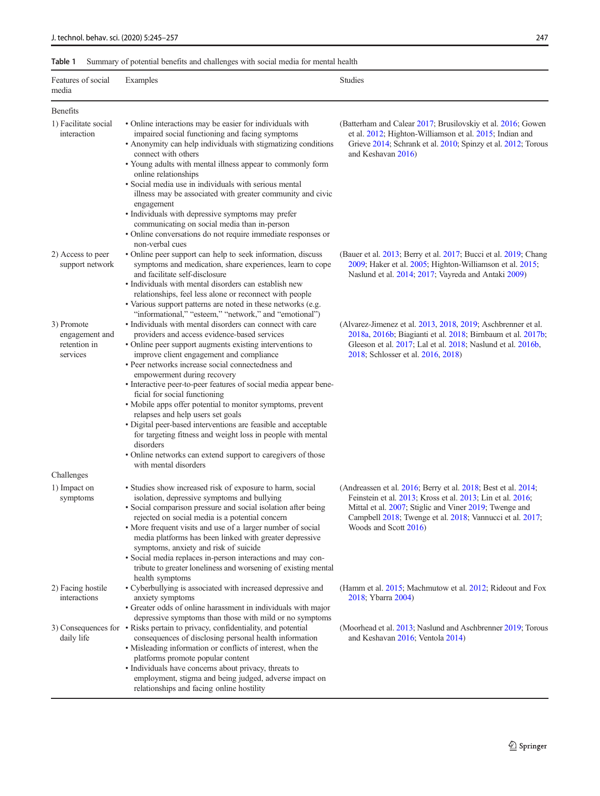### <span id="page-2-0"></span>Table 1 Summary of potential benefits and challenges with social media for mental health

| Features of social<br>media                              | Examples                                                                                                                                                                                                                                                                                                                                                                                                                                                                                                                                                                                                                                                                                                                   | <b>Studies</b>                                                                                                                                                                                                                                                                      |
|----------------------------------------------------------|----------------------------------------------------------------------------------------------------------------------------------------------------------------------------------------------------------------------------------------------------------------------------------------------------------------------------------------------------------------------------------------------------------------------------------------------------------------------------------------------------------------------------------------------------------------------------------------------------------------------------------------------------------------------------------------------------------------------------|-------------------------------------------------------------------------------------------------------------------------------------------------------------------------------------------------------------------------------------------------------------------------------------|
| <b>Benefits</b>                                          |                                                                                                                                                                                                                                                                                                                                                                                                                                                                                                                                                                                                                                                                                                                            |                                                                                                                                                                                                                                                                                     |
| 1) Facilitate social<br>interaction                      | · Online interactions may be easier for individuals with<br>impaired social functioning and facing symptoms<br>• Anonymity can help individuals with stigmatizing conditions<br>connect with others<br>• Young adults with mental illness appear to commonly form<br>online relationships<br>• Social media use in individuals with serious mental<br>illness may be associated with greater community and civic                                                                                                                                                                                                                                                                                                           | (Batterham and Calear 2017; Brusilovskiy et al. 2016; Gowen<br>et al. 2012; Highton-Williamson et al. 2015; Indian and<br>Grieve 2014; Schrank et al. 2010; Spinzy et al. 2012; Torous<br>and Keshavan 2016)                                                                        |
|                                                          | engagement<br>· Individuals with depressive symptoms may prefer<br>communicating on social media than in-person<br>• Online conversations do not require immediate responses or<br>non-verbal cues                                                                                                                                                                                                                                                                                                                                                                                                                                                                                                                         |                                                                                                                                                                                                                                                                                     |
| 2) Access to peer<br>support network                     | • Online peer support can help to seek information, discuss<br>symptoms and medication, share experiences, learn to cope<br>and facilitate self-disclosure<br>• Individuals with mental disorders can establish new<br>relationships, feel less alone or reconnect with people<br>• Various support patterns are noted in these networks (e.g.<br>"informational," "esteem," "network," and "emotional")                                                                                                                                                                                                                                                                                                                   | (Bauer et al. 2013; Berry et al. 2017; Bucci et al. 2019; Chang<br>2009; Haker et al. 2005; Highton-Williamson et al. 2015;<br>Naslund et al. 2014; 2017; Vayreda and Antaki 2009)                                                                                                  |
| 3) Promote<br>engagement and<br>retention in<br>services | • Individuals with mental disorders can connect with care<br>providers and access evidence-based services<br>• Online peer support augments existing interventions to<br>improve client engagement and compliance<br>• Peer networks increase social connectedness and<br>empowerment during recovery<br>· Interactive peer-to-peer features of social media appear bene-<br>ficial for social functioning<br>· Mobile apps offer potential to monitor symptoms, prevent<br>relapses and help users set goals<br>· Digital peer-based interventions are feasible and acceptable<br>for targeting fitness and weight loss in people with mental<br>disorders<br>• Online networks can extend support to caregivers of those | (Alvarez-Jimenez et al. 2013, 2018, 2019; Aschbrenner et al.<br>2018a, 2016b; Biagianti et al. 2018; Birnbaum et al. 2017b;<br>Gleeson et al. 2017; Lal et al. 2018; Naslund et al. 2016b,<br>2018; Schlosser et al. 2016, 2018)                                                    |
| Challenges                                               | with mental disorders                                                                                                                                                                                                                                                                                                                                                                                                                                                                                                                                                                                                                                                                                                      |                                                                                                                                                                                                                                                                                     |
| 1) Impact on<br>symptoms                                 | • Studies show increased risk of exposure to harm, social<br>isolation, depressive symptoms and bullying<br>· Social comparison pressure and social isolation after being<br>rejected on social media is a potential concern<br>· More frequent visits and use of a larger number of social<br>media platforms has been linked with greater depressive<br>symptoms, anxiety and risk of suicide<br>• Social media replaces in-person interactions and may con-<br>tribute to greater loneliness and worsening of existing mental<br>health symptoms                                                                                                                                                                        | (Andreassen et al. $2016$ ; Berry et al. $2018$ ; Best et al. $2014$ ;<br>Feinstein et al. 2013; Kross et al. 2013; Lin et al. 2016;<br>Mittal et al. 2007; Stiglic and Viner 2019; Twenge and<br>Campbell 2018; Twenge et al. 2018; Vannucci et al. 2017;<br>Woods and Scott 2016) |
| 2) Facing hostile<br>interactions                        | · Cyberbullying is associated with increased depressive and<br>anxiety symptoms<br>• Greater odds of online harassment in individuals with major<br>depressive symptoms than those with mild or no symptoms                                                                                                                                                                                                                                                                                                                                                                                                                                                                                                                | (Hamm et al. 2015; Machmutow et al. 2012; Rideout and Fox<br>2018; Ybarra 2004)                                                                                                                                                                                                     |
| daily life                                               | 3) Consequences for • Risks pertain to privacy, confidentiality, and potential<br>consequences of disclosing personal health information<br>· Misleading information or conflicts of interest, when the<br>platforms promote popular content<br>• Individuals have concerns about privacy, threats to<br>employment, stigma and being judged, adverse impact on<br>relationships and facing online hostility                                                                                                                                                                                                                                                                                                               | (Moorhead et al. 2013; Naslund and Aschbrenner 2019; Torous<br>and Keshavan 2016; Ventola 2014)                                                                                                                                                                                     |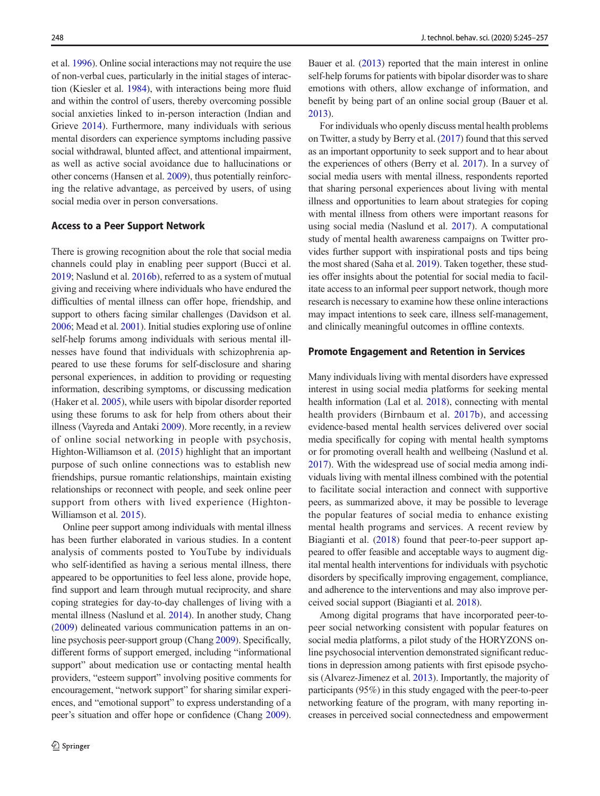et al. [1996](#page-10-0)). Online social interactions may not require the use of non-verbal cues, particularly in the initial stages of interaction (Kiesler et al. [1984\)](#page-10-0), with interactions being more fluid and within the control of users, thereby overcoming possible social anxieties linked to in-person interaction (Indian and Grieve [2014](#page-10-0)). Furthermore, many individuals with serious mental disorders can experience symptoms including passive social withdrawal, blunted affect, and attentional impairment, as well as active social avoidance due to hallucinations or other concerns (Hansen et al. [2009](#page-10-0)), thus potentially reinforcing the relative advantage, as perceived by users, of using social media over in person conversations.

### Access to a Peer Support Network

There is growing recognition about the role that social media channels could play in enabling peer support (Bucci et al. [2019;](#page-9-0) Naslund et al. [2016b\)](#page-11-0), referred to as a system of mutual giving and receiving where individuals who have endured the difficulties of mental illness can offer hope, friendship, and support to others facing similar challenges (Davidson et al. [2006;](#page-9-0) Mead et al. [2001](#page-10-0)). Initial studies exploring use of online self-help forums among individuals with serious mental illnesses have found that individuals with schizophrenia appeared to use these forums for self-disclosure and sharing personal experiences, in addition to providing or requesting information, describing symptoms, or discussing medication (Haker et al. [2005](#page-10-0)), while users with bipolar disorder reported using these forums to ask for help from others about their illness (Vayreda and Antaki [2009\)](#page-11-0). More recently, in a review of online social networking in people with psychosis, Highton-Williamson et al. ([2015](#page-10-0)) highlight that an important purpose of such online connections was to establish new friendships, pursue romantic relationships, maintain existing relationships or reconnect with people, and seek online peer support from others with lived experience (Highton-Williamson et al. [2015\)](#page-10-0).

Online peer support among individuals with mental illness has been further elaborated in various studies. In a content analysis of comments posted to YouTube by individuals who self-identified as having a serious mental illness, there appeared to be opportunities to feel less alone, provide hope, find support and learn through mutual reciprocity, and share coping strategies for day-to-day challenges of living with a mental illness (Naslund et al. [2014\)](#page-11-0). In another study, Chang [\(2009\)](#page-9-0) delineated various communication patterns in an online psychosis peer-support group (Chang [2009\)](#page-9-0). Specifically, different forms of support emerged, including "informational support" about medication use or contacting mental health providers, "esteem support" involving positive comments for encouragement, "network support" for sharing similar experiences, and "emotional support" to express understanding of a peer's situation and offer hope or confidence (Chang [2009\)](#page-9-0).

Bauer et al. [\(2013\)](#page-9-0) reported that the main interest in online self-help forums for patients with bipolar disorder was to share emotions with others, allow exchange of information, and benefit by being part of an online social group (Bauer et al. [2013\)](#page-9-0).

For individuals who openly discuss mental health problems on Twitter, a study by Berry et al. ([2017](#page-9-0)) found that this served as an important opportunity to seek support and to hear about the experiences of others (Berry et al. [2017](#page-9-0)). In a survey of social media users with mental illness, respondents reported that sharing personal experiences about living with mental illness and opportunities to learn about strategies for coping with mental illness from others were important reasons for using social media (Naslund et al. [2017](#page-11-0)). A computational study of mental health awareness campaigns on Twitter provides further support with inspirational posts and tips being the most shared (Saha et al. [2019](#page-11-0)). Taken together, these studies offer insights about the potential for social media to facilitate access to an informal peer support network, though more research is necessary to examine how these online interactions may impact intentions to seek care, illness self-management, and clinically meaningful outcomes in offline contexts.

#### Promote Engagement and Retention in Services

Many individuals living with mental disorders have expressed interest in using social media platforms for seeking mental health information (Lal et al. [2018\)](#page-10-0), connecting with mental health providers (Birnbaum et al. [2017b\)](#page-9-0), and accessing evidence-based mental health services delivered over social media specifically for coping with mental health symptoms or for promoting overall health and wellbeing (Naslund et al. [2017\)](#page-11-0). With the widespread use of social media among individuals living with mental illness combined with the potential to facilitate social interaction and connect with supportive peers, as summarized above, it may be possible to leverage the popular features of social media to enhance existing mental health programs and services. A recent review by Biagianti et al. ([2018\)](#page-9-0) found that peer-to-peer support appeared to offer feasible and acceptable ways to augment digital mental health interventions for individuals with psychotic disorders by specifically improving engagement, compliance, and adherence to the interventions and may also improve perceived social support (Biagianti et al. [2018\)](#page-9-0).

Among digital programs that have incorporated peer-topeer social networking consistent with popular features on social media platforms, a pilot study of the HORYZONS online psychosocial intervention demonstrated significant reductions in depression among patients with first episode psychosis (Alvarez-Jimenez et al. [2013\)](#page-9-0). Importantly, the majority of participants (95%) in this study engaged with the peer-to-peer networking feature of the program, with many reporting increases in perceived social connectedness and empowerment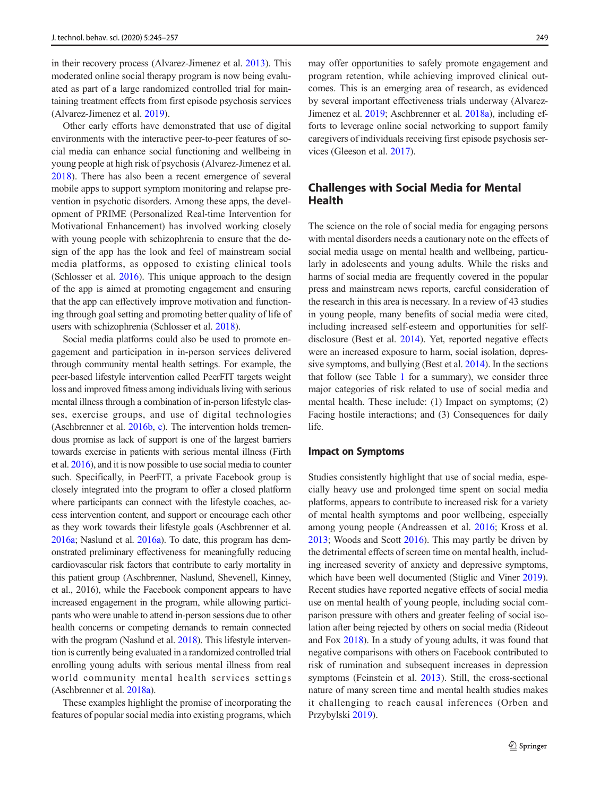in their recovery process (Alvarez-Jimenez et al. [2013](#page-9-0)). This moderated online social therapy program is now being evaluated as part of a large randomized controlled trial for maintaining treatment effects from first episode psychosis services (Alvarez-Jimenez et al. [2019](#page-9-0)).

Other early efforts have demonstrated that use of digital environments with the interactive peer-to-peer features of social media can enhance social functioning and wellbeing in young people at high risk of psychosis (Alvarez-Jimenez et al. [2018](#page-9-0)). There has also been a recent emergence of several mobile apps to support symptom monitoring and relapse prevention in psychotic disorders. Among these apps, the development of PRIME (Personalized Real-time Intervention for Motivational Enhancement) has involved working closely with young people with schizophrenia to ensure that the design of the app has the look and feel of mainstream social media platforms, as opposed to existing clinical tools (Schlosser et al. [2016\)](#page-11-0). This unique approach to the design of the app is aimed at promoting engagement and ensuring that the app can effectively improve motivation and functioning through goal setting and promoting better quality of life of users with schizophrenia (Schlosser et al. [2018\)](#page-11-0).

Social media platforms could also be used to promote engagement and participation in in-person services delivered through community mental health settings. For example, the peer-based lifestyle intervention called PeerFIT targets weight loss and improved fitness among individuals living with serious mental illness through a combination of in-person lifestyle classes, exercise groups, and use of digital technologies (Aschbrenner et al. [2016b](#page-9-0), [c](#page-9-0)). The intervention holds tremendous promise as lack of support is one of the largest barriers towards exercise in patients with serious mental illness (Firth et al. [2016\)](#page-10-0), and it is now possible to use social media to counter such. Specifically, in PeerFIT, a private Facebook group is closely integrated into the program to offer a closed platform where participants can connect with the lifestyle coaches, access intervention content, and support or encourage each other as they work towards their lifestyle goals (Aschbrenner et al. [2016a](#page-9-0); Naslund et al. [2016a\)](#page-11-0). To date, this program has demonstrated preliminary effectiveness for meaningfully reducing cardiovascular risk factors that contribute to early mortality in this patient group (Aschbrenner, Naslund, Shevenell, Kinney, et al., 2016), while the Facebook component appears to have increased engagement in the program, while allowing participants who were unable to attend in-person sessions due to other health concerns or competing demands to remain connected with the program (Naslund et al. [2018\)](#page-11-0). This lifestyle intervention is currently being evaluated in a randomized controlled trial enrolling young adults with serious mental illness from real world community mental health services settings (Aschbrenner et al. [2018a](#page-9-0)).

These examples highlight the promise of incorporating the features of popular social media into existing programs, which

may offer opportunities to safely promote engagement and program retention, while achieving improved clinical outcomes. This is an emerging area of research, as evidenced by several important effectiveness trials underway (Alvarez-Jimenez et al. [2019](#page-9-0); Aschbrenner et al. [2018a\)](#page-9-0), including efforts to leverage online social networking to support family caregivers of individuals receiving first episode psychosis services (Gleeson et al. [2017](#page-10-0)).

# Challenges with Social Media for Mental Health

The science on the role of social media for engaging persons with mental disorders needs a cautionary note on the effects of social media usage on mental health and wellbeing, particularly in adolescents and young adults. While the risks and harms of social media are frequently covered in the popular press and mainstream news reports, careful consideration of the research in this area is necessary. In a review of 43 studies in young people, many benefits of social media were cited, including increased self-esteem and opportunities for selfdisclosure (Best et al. [2014](#page-9-0)). Yet, reported negative effects were an increased exposure to harm, social isolation, depressive symptoms, and bullying (Best et al. [2014](#page-9-0)). In the sections that follow (see Table [1](#page-2-0) for a summary), we consider three major categories of risk related to use of social media and mental health. These include: (1) Impact on symptoms; (2) Facing hostile interactions; and (3) Consequences for daily life.

#### Impact on Symptoms

Studies consistently highlight that use of social media, especially heavy use and prolonged time spent on social media platforms, appears to contribute to increased risk for a variety of mental health symptoms and poor wellbeing, especially among young people (Andreassen et al. [2016](#page-9-0); Kross et al. [2013;](#page-10-0) Woods and Scott [2016\)](#page-12-0). This may partly be driven by the detrimental effects of screen time on mental health, including increased severity of anxiety and depressive symptoms, which have been well documented (Stiglic and Viner [2019\)](#page-11-0). Recent studies have reported negative effects of social media use on mental health of young people, including social comparison pressure with others and greater feeling of social isolation after being rejected by others on social media (Rideout and Fox [2018\)](#page-11-0). In a study of young adults, it was found that negative comparisons with others on Facebook contributed to risk of rumination and subsequent increases in depression symptoms (Feinstein et al. [2013\)](#page-10-0). Still, the cross-sectional nature of many screen time and mental health studies makes it challenging to reach causal inferences (Orben and Przybylski [2019\)](#page-11-0).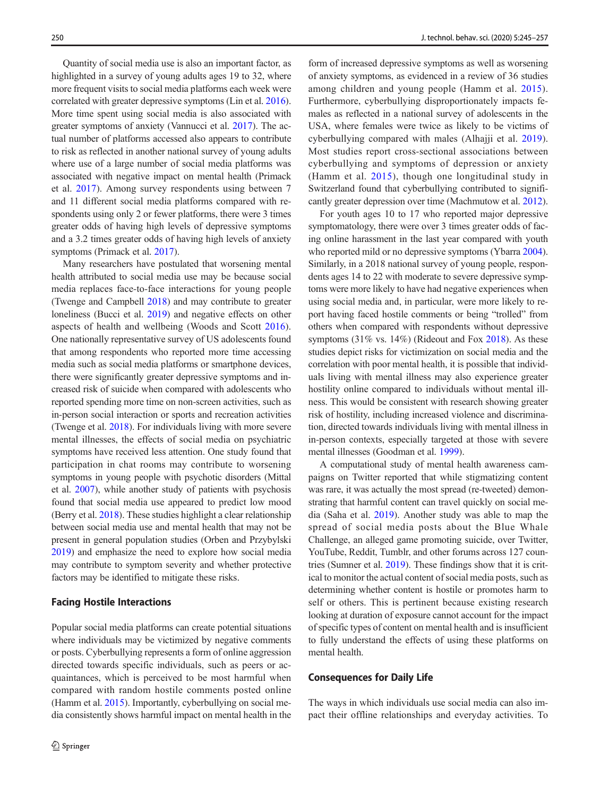Quantity of social media use is also an important factor, as highlighted in a survey of young adults ages 19 to 32, where more frequent visits to social media platforms each week were correlated with greater depressive symptoms (Lin et al. [2016\)](#page-10-0). More time spent using social media is also associated with greater symptoms of anxiety (Vannucci et al. [2017\)](#page-11-0). The actual number of platforms accessed also appears to contribute to risk as reflected in another national survey of young adults where use of a large number of social media platforms was associated with negative impact on mental health (Primack et al. [2017\)](#page-11-0). Among survey respondents using between 7 and 11 different social media platforms compared with respondents using only 2 or fewer platforms, there were 3 times greater odds of having high levels of depressive symptoms and a 3.2 times greater odds of having high levels of anxiety symptoms (Primack et al. [2017\)](#page-11-0).

Many researchers have postulated that worsening mental health attributed to social media use may be because social media replaces face-to-face interactions for young people (Twenge and Campbell [2018\)](#page-11-0) and may contribute to greater loneliness (Bucci et al. [2019\)](#page-9-0) and negative effects on other aspects of health and wellbeing (Woods and Scott [2016](#page-12-0)). One nationally representative survey of US adolescents found that among respondents who reported more time accessing media such as social media platforms or smartphone devices, there were significantly greater depressive symptoms and increased risk of suicide when compared with adolescents who reported spending more time on non-screen activities, such as in-person social interaction or sports and recreation activities (Twenge et al. [2018](#page-11-0)). For individuals living with more severe mental illnesses, the effects of social media on psychiatric symptoms have received less attention. One study found that participation in chat rooms may contribute to worsening symptoms in young people with psychotic disorders (Mittal et al. [2007\)](#page-10-0), while another study of patients with psychosis found that social media use appeared to predict low mood (Berry et al. [2018](#page-9-0)). These studies highlight a clear relationship between social media use and mental health that may not be present in general population studies (Orben and Przybylski [2019\)](#page-11-0) and emphasize the need to explore how social media may contribute to symptom severity and whether protective factors may be identified to mitigate these risks.

#### Facing Hostile Interactions

Popular social media platforms can create potential situations where individuals may be victimized by negative comments or posts. Cyberbullying represents a form of online aggression directed towards specific individuals, such as peers or acquaintances, which is perceived to be most harmful when compared with random hostile comments posted online (Hamm et al. [2015\)](#page-10-0). Importantly, cyberbullying on social media consistently shows harmful impact on mental health in the

form of increased depressive symptoms as well as worsening of anxiety symptoms, as evidenced in a review of 36 studies among children and young people (Hamm et al. [2015](#page-10-0)). Furthermore, cyberbullying disproportionately impacts females as reflected in a national survey of adolescents in the USA, where females were twice as likely to be victims of cyberbullying compared with males (Alhajji et al. [2019](#page-9-0)). Most studies report cross-sectional associations between cyberbullying and symptoms of depression or anxiety (Hamm et al. [2015\)](#page-10-0), though one longitudinal study in Switzerland found that cyberbullying contributed to significantly greater depression over time (Machmutow et al. [2012\)](#page-10-0).

For youth ages 10 to 17 who reported major depressive symptomatology, there were over 3 times greater odds of facing online harassment in the last year compared with youth who reported mild or no depressive symptoms (Ybarra [2004\)](#page-12-0). Similarly, in a 2018 national survey of young people, respondents ages 14 to 22 with moderate to severe depressive symptoms were more likely to have had negative experiences when using social media and, in particular, were more likely to report having faced hostile comments or being "trolled" from others when compared with respondents without depressive symptoms (31% vs. 14%) (Rideout and Fox [2018](#page-11-0)). As these studies depict risks for victimization on social media and the correlation with poor mental health, it is possible that individuals living with mental illness may also experience greater hostility online compared to individuals without mental illness. This would be consistent with research showing greater risk of hostility, including increased violence and discrimination, directed towards individuals living with mental illness in in-person contexts, especially targeted at those with severe mental illnesses (Goodman et al. [1999\)](#page-10-0).

A computational study of mental health awareness campaigns on Twitter reported that while stigmatizing content was rare, it was actually the most spread (re-tweeted) demonstrating that harmful content can travel quickly on social media (Saha et al. [2019](#page-11-0)). Another study was able to map the spread of social media posts about the Blue Whale Challenge, an alleged game promoting suicide, over Twitter, YouTube, Reddit, Tumblr, and other forums across 127 countries (Sumner et al. [2019](#page-11-0)). These findings show that it is critical to monitor the actual content of social media posts, such as determining whether content is hostile or promotes harm to self or others. This is pertinent because existing research looking at duration of exposure cannot account for the impact of specific types of content on mental health and is insufficient to fully understand the effects of using these platforms on mental health.

### Consequences for Daily Life

The ways in which individuals use social media can also impact their offline relationships and everyday activities. To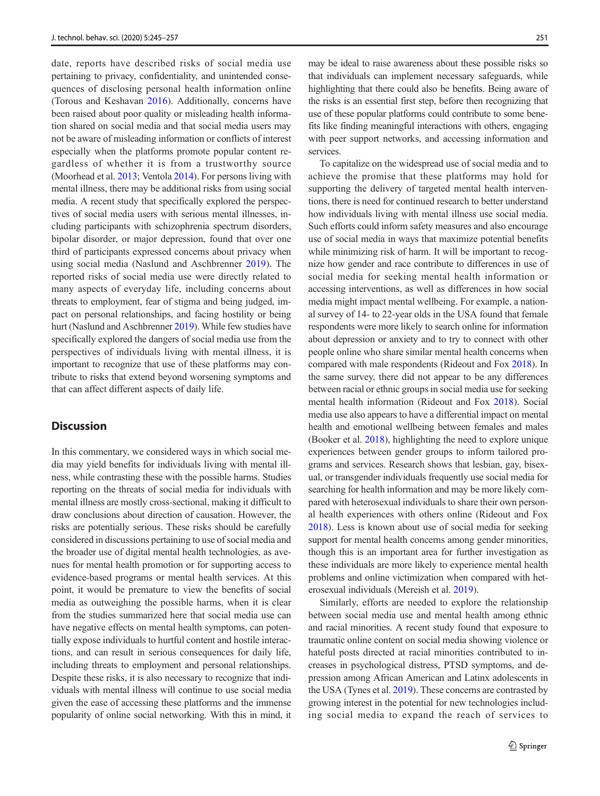date, reports have described risks of social media use pertaining to privacy, confidentiality, and unintended consequences of disclosing personal health information online (Torous and Keshavan [2016](#page-11-0)). Additionally, concerns have been raised about poor quality or misleading health information shared on social media and that social media users may not be aware of misleading information or conflicts of interest especially when the platforms promote popular content regardless of whether it is from a trustworthy source (Moorhead et al. [2013](#page-10-0); Ventola [2014](#page-11-0)). For persons living with mental illness, there may be additional risks from using social media. A recent study that specifically explored the perspectives of social media users with serious mental illnesses, including participants with schizophrenia spectrum disorders, bipolar disorder, or major depression, found that over one third of participants expressed concerns about privacy when using social media (Naslund and Aschbrenner [2019](#page-11-0)). The reported risks of social media use were directly related to many aspects of everyday life, including concerns about threats to employment, fear of stigma and being judged, impact on personal relationships, and facing hostility or being hurt (Naslund and Aschbrenner [2019\)](#page-11-0). While few studies have specifically explored the dangers of social media use from the perspectives of individuals living with mental illness, it is important to recognize that use of these platforms may contribute to risks that extend beyond worsening symptoms and that can affect different aspects of daily life.

## **Discussion**

In this commentary, we considered ways in which social media may yield benefits for individuals living with mental illness, while contrasting these with the possible harms. Studies reporting on the threats of social media for individuals with mental illness are mostly cross-sectional, making it difficult to draw conclusions about direction of causation. However, the risks are potentially serious. These risks should be carefully considered in discussions pertaining to use of social media and the broader use of digital mental health technologies, as avenues for mental health promotion or for supporting access to evidence-based programs or mental health services. At this point, it would be premature to view the benefits of social media as outweighing the possible harms, when it is clear from the studies summarized here that social media use can have negative effects on mental health symptoms, can potentially expose individuals to hurtful content and hostile interactions, and can result in serious consequences for daily life, including threats to employment and personal relationships. Despite these risks, it is also necessary to recognize that individuals with mental illness will continue to use social media given the ease of accessing these platforms and the immense popularity of online social networking. With this in mind, it

may be ideal to raise awareness about these possible risks so that individuals can implement necessary safeguards, while highlighting that there could also be benefits. Being aware of the risks is an essential first step, before then recognizing that use of these popular platforms could contribute to some benefits like finding meaningful interactions with others, engaging with peer support networks, and accessing information and services.

To capitalize on the widespread use of social media and to achieve the promise that these platforms may hold for supporting the delivery of targeted mental health interventions, there is need for continued research to better understand how individuals living with mental illness use social media. Such efforts could inform safety measures and also encourage use of social media in ways that maximize potential benefits while minimizing risk of harm. It will be important to recognize how gender and race contribute to differences in use of social media for seeking mental health information or accessing interventions, as well as differences in how social media might impact mental wellbeing. For example, a national survey of 14- to 22-year olds in the USA found that female respondents were more likely to search online for information about depression or anxiety and to try to connect with other people online who share similar mental health concerns when compared with male respondents (Rideout and Fox [2018\)](#page-11-0). In the same survey, there did not appear to be any differences between racial or ethnic groups in social media use for seeking mental health information (Rideout and Fox [2018](#page-11-0)). Social media use also appears to have a differential impact on mental health and emotional wellbeing between females and males (Booker et al. [2018\)](#page-9-0), highlighting the need to explore unique experiences between gender groups to inform tailored programs and services. Research shows that lesbian, gay, bisexual, or transgender individuals frequently use social media for searching for health information and may be more likely compared with heterosexual individuals to share their own personal health experiences with others online (Rideout and Fox [2018\)](#page-11-0). Less is known about use of social media for seeking support for mental health concerns among gender minorities, though this is an important area for further investigation as these individuals are more likely to experience mental health problems and online victimization when compared with heterosexual individuals (Mereish et al. [2019\)](#page-10-0).

Similarly, efforts are needed to explore the relationship between social media use and mental health among ethnic and racial minorities. A recent study found that exposure to traumatic online content on social media showing violence or hateful posts directed at racial minorities contributed to increases in psychological distress, PTSD symptoms, and depression among African American and Latinx adolescents in the USA (Tynes et al. [2019\)](#page-11-0). These concerns are contrasted by growing interest in the potential for new technologies including social media to expand the reach of services to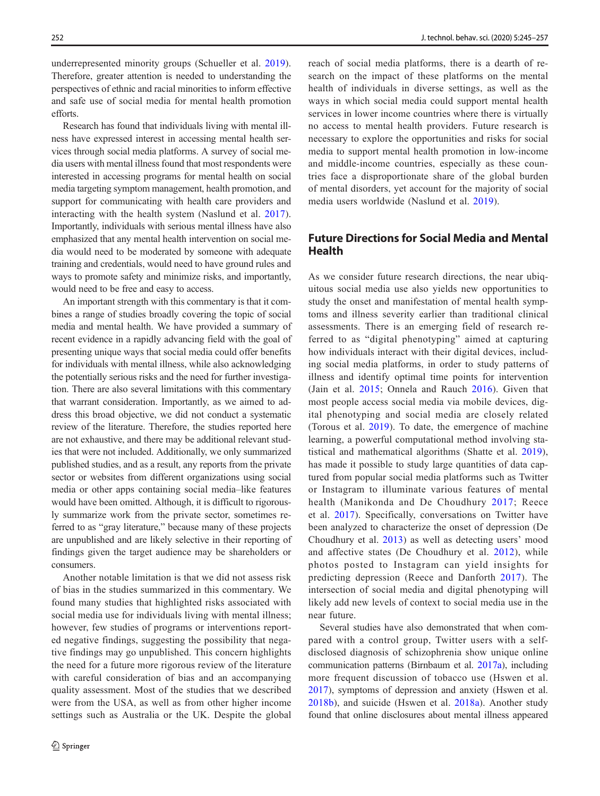underrepresented minority groups (Schueller et al. [2019](#page-11-0)). Therefore, greater attention is needed to understanding the perspectives of ethnic and racial minorities to inform effective and safe use of social media for mental health promotion efforts.

Research has found that individuals living with mental illness have expressed interest in accessing mental health services through social media platforms. A survey of social media users with mental illness found that most respondents were interested in accessing programs for mental health on social media targeting symptom management, health promotion, and support for communicating with health care providers and interacting with the health system (Naslund et al. [2017](#page-11-0)). Importantly, individuals with serious mental illness have also emphasized that any mental health intervention on social media would need to be moderated by someone with adequate training and credentials, would need to have ground rules and ways to promote safety and minimize risks, and importantly, would need to be free and easy to access.

An important strength with this commentary is that it combines a range of studies broadly covering the topic of social media and mental health. We have provided a summary of recent evidence in a rapidly advancing field with the goal of presenting unique ways that social media could offer benefits for individuals with mental illness, while also acknowledging the potentially serious risks and the need for further investigation. There are also several limitations with this commentary that warrant consideration. Importantly, as we aimed to address this broad objective, we did not conduct a systematic review of the literature. Therefore, the studies reported here are not exhaustive, and there may be additional relevant studies that were not included. Additionally, we only summarized published studies, and as a result, any reports from the private sector or websites from different organizations using social media or other apps containing social media–like features would have been omitted. Although, it is difficult to rigorously summarize work from the private sector, sometimes referred to as "gray literature," because many of these projects are unpublished and are likely selective in their reporting of findings given the target audience may be shareholders or consumers.

Another notable limitation is that we did not assess risk of bias in the studies summarized in this commentary. We found many studies that highlighted risks associated with social media use for individuals living with mental illness; however, few studies of programs or interventions reported negative findings, suggesting the possibility that negative findings may go unpublished. This concern highlights the need for a future more rigorous review of the literature with careful consideration of bias and an accompanying quality assessment. Most of the studies that we described were from the USA, as well as from other higher income settings such as Australia or the UK. Despite the global reach of social media platforms, there is a dearth of research on the impact of these platforms on the mental health of individuals in diverse settings, as well as the ways in which social media could support mental health services in lower income countries where there is virtually no access to mental health providers. Future research is necessary to explore the opportunities and risks for social media to support mental health promotion in low-income and middle-income countries, especially as these countries face a disproportionate share of the global burden of mental disorders, yet account for the majority of social media users worldwide (Naslund et al. [2019](#page-11-0)).

# Future Directions for Social Media and Mental Health

As we consider future research directions, the near ubiquitous social media use also yields new opportunities to study the onset and manifestation of mental health symptoms and illness severity earlier than traditional clinical assessments. There is an emerging field of research referred to as "digital phenotyping" aimed at capturing how individuals interact with their digital devices, including social media platforms, in order to study patterns of illness and identify optimal time points for intervention (Jain et al. [2015](#page-10-0); Onnela and Rauch [2016](#page-11-0)). Given that most people access social media via mobile devices, digital phenotyping and social media are closely related (Torous et al. [2019\)](#page-11-0). To date, the emergence of machine learning, a powerful computational method involving statistical and mathematical algorithms (Shatte et al. [2019](#page-11-0)), has made it possible to study large quantities of data captured from popular social media platforms such as Twitter or Instagram to illuminate various features of mental health (Manikonda and De Choudhury [2017](#page-10-0); Reece et al. [2017](#page-11-0)). Specifically, conversations on Twitter have been analyzed to characterize the onset of depression (De Choudhury et al. [2013](#page-10-0)) as well as detecting users' mood and affective states (De Choudhury et al. [2012](#page-9-0)), while photos posted to Instagram can yield insights for predicting depression (Reece and Danforth [2017\)](#page-11-0). The intersection of social media and digital phenotyping will likely add new levels of context to social media use in the near future.

Several studies have also demonstrated that when compared with a control group, Twitter users with a selfdisclosed diagnosis of schizophrenia show unique online communication patterns (Birnbaum et al. [2017a](#page-9-0)), including more frequent discussion of tobacco use (Hswen et al. [2017](#page-10-0)), symptoms of depression and anxiety (Hswen et al. [2018b](#page-10-0)), and suicide (Hswen et al. [2018a](#page-10-0)). Another study found that online disclosures about mental illness appeared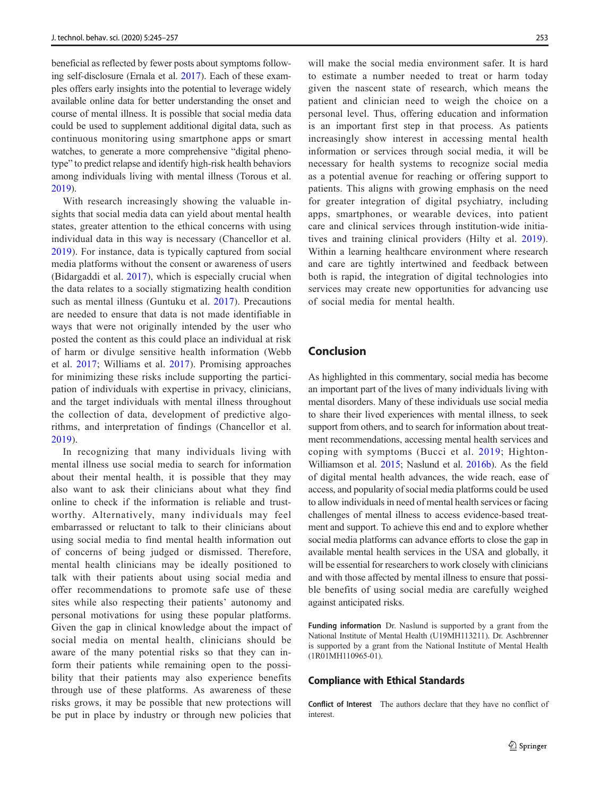beneficial as reflected by fewer posts about symptoms following self-disclosure (Ernala et al. [2017](#page-10-0)). Each of these examples offers early insights into the potential to leverage widely available online data for better understanding the onset and course of mental illness. It is possible that social media data could be used to supplement additional digital data, such as continuous monitoring using smartphone apps or smart watches, to generate a more comprehensive "digital phenotype" to predict relapse and identify high-risk health behaviors among individuals living with mental illness (Torous et al. [2019\)](#page-11-0).

With research increasingly showing the valuable insights that social media data can yield about mental health states, greater attention to the ethical concerns with using individual data in this way is necessary (Chancellor et al. [2019](#page-9-0)). For instance, data is typically captured from social media platforms without the consent or awareness of users (Bidargaddi et al. [2017](#page-9-0)), which is especially crucial when the data relates to a socially stigmatizing health condition such as mental illness (Guntuku et al. [2017\)](#page-10-0). Precautions are needed to ensure that data is not made identifiable in ways that were not originally intended by the user who posted the content as this could place an individual at risk of harm or divulge sensitive health information (Webb et al. [2017](#page-12-0); Williams et al. [2017\)](#page-12-0). Promising approaches for minimizing these risks include supporting the participation of individuals with expertise in privacy, clinicians, and the target individuals with mental illness throughout the collection of data, development of predictive algorithms, and interpretation of findings (Chancellor et al. [2019](#page-9-0)).

In recognizing that many individuals living with mental illness use social media to search for information about their mental health, it is possible that they may also want to ask their clinicians about what they find online to check if the information is reliable and trustworthy. Alternatively, many individuals may feel embarrassed or reluctant to talk to their clinicians about using social media to find mental health information out of concerns of being judged or dismissed. Therefore, mental health clinicians may be ideally positioned to talk with their patients about using social media and offer recommendations to promote safe use of these sites while also respecting their patients' autonomy and personal motivations for using these popular platforms. Given the gap in clinical knowledge about the impact of social media on mental health, clinicians should be aware of the many potential risks so that they can inform their patients while remaining open to the possibility that their patients may also experience benefits through use of these platforms. As awareness of these risks grows, it may be possible that new protections will be put in place by industry or through new policies that

will make the social media environment safer. It is hard to estimate a number needed to treat or harm today given the nascent state of research, which means the patient and clinician need to weigh the choice on a personal level. Thus, offering education and information is an important first step in that process. As patients increasingly show interest in accessing mental health information or services through social media, it will be necessary for health systems to recognize social media as a potential avenue for reaching or offering support to patients. This aligns with growing emphasis on the need for greater integration of digital psychiatry, including apps, smartphones, or wearable devices, into patient care and clinical services through institution-wide initiatives and training clinical providers (Hilty et al. [2019](#page-10-0)). Within a learning healthcare environment where research and care are tightly intertwined and feedback between both is rapid, the integration of digital technologies into services may create new opportunities for advancing use of social media for mental health.

# Conclusion

As highlighted in this commentary, social media has become an important part of the lives of many individuals living with mental disorders. Many of these individuals use social media to share their lived experiences with mental illness, to seek support from others, and to search for information about treatment recommendations, accessing mental health services and coping with symptoms (Bucci et al. [2019](#page-9-0); Highton-Williamson et al. [2015;](#page-10-0) Naslund et al. [2016b\)](#page-11-0). As the field of digital mental health advances, the wide reach, ease of access, and popularity of social media platforms could be used to allow individuals in need of mental health services or facing challenges of mental illness to access evidence-based treatment and support. To achieve this end and to explore whether social media platforms can advance efforts to close the gap in available mental health services in the USA and globally, it will be essential for researchers to work closely with clinicians and with those affected by mental illness to ensure that possible benefits of using social media are carefully weighed against anticipated risks.

Funding information Dr. Naslund is supported by a grant from the National Institute of Mental Health (U19MH113211). Dr. Aschbrenner is supported by a grant from the National Institute of Mental Health (1R01MH110965-01).

#### Compliance with Ethical Standards

Conflict of Interest The authors declare that they have no conflict of interest.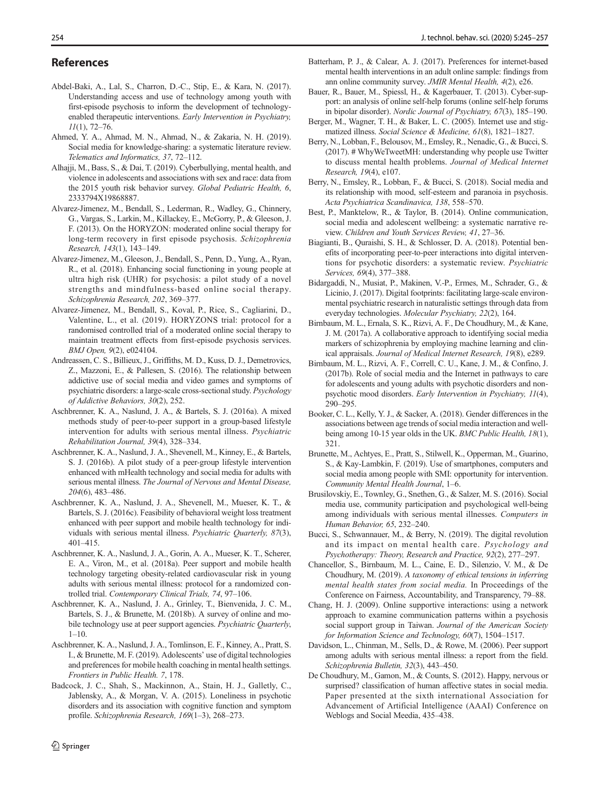#### <span id="page-9-0"></span>References

- Abdel-Baki, A., Lal, S., Charron, D.-C., Stip, E., & Kara, N. (2017). Understanding access and use of technology among youth with first-episode psychosis to inform the development of technologyenabled therapeutic interventions. Early Intervention in Psychiatry, 11(1), 72–76.
- Ahmed, Y. A., Ahmad, M. N., Ahmad, N., & Zakaria, N. H. (2019). Social media for knowledge-sharing: a systematic literature review. Telematics and Informatics, 37, 72–112.
- Alhajji, M., Bass, S., & Dai, T. (2019). Cyberbullying, mental health, and violence in adolescents and associations with sex and race: data from the 2015 youth risk behavior survey. Global Pediatric Health, 6, 2333794X19868887.
- Alvarez-Jimenez, M., Bendall, S., Lederman, R., Wadley, G., Chinnery, G., Vargas, S., Larkin, M., Killackey, E., McGorry, P., & Gleeson, J. F. (2013). On the HORYZON: moderated online social therapy for long-term recovery in first episode psychosis. Schizophrenia Research, 143(1), 143–149.
- Alvarez-Jimenez, M., Gleeson, J., Bendall, S., Penn, D., Yung, A., Ryan, R., et al. (2018). Enhancing social functioning in young people at ultra high risk (UHR) for psychosis: a pilot study of a novel strengths and mindfulness-based online social therapy. Schizophrenia Research, 202, 369–377.
- Alvarez-Jimenez, M., Bendall, S., Koval, P., Rice, S., Cagliarini, D., Valentine, L., et al. (2019). HORYZONS trial: protocol for a randomised controlled trial of a moderated online social therapy to maintain treatment effects from first-episode psychosis services. BMJ Open, 9(2), e024104.
- Andreassen, C. S., Billieux, J., Griffiths, M. D., Kuss, D. J., Demetrovics, Z., Mazzoni, E., & Pallesen, S. (2016). The relationship between addictive use of social media and video games and symptoms of psychiatric disorders: a large-scale cross-sectional study. Psychology of Addictive Behaviors, 30(2), 252.
- Aschbrenner, K. A., Naslund, J. A., & Bartels, S. J. (2016a). A mixed methods study of peer-to-peer support in a group-based lifestyle intervention for adults with serious mental illness. Psychiatric Rehabilitation Journal, 39(4), 328–334.
- Aschbrenner, K. A., Naslund, J. A., Shevenell, M., Kinney, E., & Bartels, S. J. (2016b). A pilot study of a peer-group lifestyle intervention enhanced with mHealth technology and social media for adults with serious mental illness. The Journal of Nervous and Mental Disease, 204(6), 483–486.
- Aschbrenner, K. A., Naslund, J. A., Shevenell, M., Mueser, K. T., & Bartels, S. J. (2016c). Feasibility of behavioral weight loss treatment enhanced with peer support and mobile health technology for individuals with serious mental illness. Psychiatric Quarterly, 87(3), 401–415.
- Aschbrenner, K. A., Naslund, J. A., Gorin, A. A., Mueser, K. T., Scherer, E. A., Viron, M., et al. (2018a). Peer support and mobile health technology targeting obesity-related cardiovascular risk in young adults with serious mental illness: protocol for a randomized controlled trial. Contemporary Clinical Trials, 74, 97–106.
- Aschbrenner, K. A., Naslund, J. A., Grinley, T., Bienvenida, J. C. M., Bartels, S. J., & Brunette, M. (2018b). A survey of online and mobile technology use at peer support agencies. Psychiatric Quarterly,  $1-10.$
- Aschbrenner, K. A., Naslund, J. A., Tomlinson, E. F., Kinney, A., Pratt, S. I., & Brunette, M. F. (2019). Adolescents' use of digital technologies and preferences for mobile health coaching in mental health settings. Frontiers in Public Health. 7, 178.
- Badcock, J. C., Shah, S., Mackinnon, A., Stain, H. J., Galletly, C., Jablensky, A., & Morgan, V. A. (2015). Loneliness in psychotic disorders and its association with cognitive function and symptom profile. Schizophrenia Research, 169(1–3), 268–273.
- Batterham, P. J., & Calear, A. J. (2017). Preferences for internet-based mental health interventions in an adult online sample: findings from ann online community survey. JMIR Mental Health, 4(2), e26.
- Bauer, R., Bauer, M., Spiessl, H., & Kagerbauer, T. (2013). Cyber-support: an analysis of online self-help forums (online self-help forums in bipolar disorder). Nordic Journal of Psychiatry, 67(3), 185–190.
- Berger, M., Wagner, T. H., & Baker, L. C. (2005). Internet use and stigmatized illness. Social Science & Medicine, 61(8), 1821–1827.
- Berry, N., Lobban, F., Belousov, M., Emsley, R., Nenadic, G., & Bucci, S. (2017). # WhyWeTweetMH: understanding why people use Twitter to discuss mental health problems. Journal of Medical Internet Research, 19(4), e107.
- Berry, N., Emsley, R., Lobban, F., & Bucci, S. (2018). Social media and its relationship with mood, self-esteem and paranoia in psychosis. Acta Psychiatrica Scandinavica, 138, 558–570.
- Best, P., Manktelow, R., & Taylor, B. (2014). Online communication, social media and adolescent wellbeing: a systematic narrative review. Children and Youth Services Review, 41, 27–36.
- Biagianti, B., Quraishi, S. H., & Schlosser, D. A. (2018). Potential benefits of incorporating peer-to-peer interactions into digital interventions for psychotic disorders: a systematic review. Psychiatric Services, 69(4), 377–388.
- Bidargaddi, N., Musiat, P., Makinen, V.-P., Ermes, M., Schrader, G., & Licinio, J. (2017). Digital footprints: facilitating large-scale environmental psychiatric research in naturalistic settings through data from everyday technologies. Molecular Psychiatry, 22(2), 164.
- Birnbaum, M. L., Ernala, S. K., Rizvi, A. F., De Choudhury, M., & Kane, J. M. (2017a). A collaborative approach to identifying social media markers of schizophrenia by employing machine learning and clinical appraisals. Journal of Medical Internet Research, 19(8), e289.
- Birnbaum, M. L., Rizvi, A. F., Correll, C. U., Kane, J. M., & Confino, J. (2017b). Role of social media and the Internet in pathways to care for adolescents and young adults with psychotic disorders and nonpsychotic mood disorders. Early Intervention in Psychiatry, 11(4), 290–295.
- Booker, C. L., Kelly, Y. J., & Sacker, A. (2018). Gender differences in the associations between age trends of social media interaction and wellbeing among 10-15 year olds in the UK. BMC Public Health, 18(1), 321.
- Brunette, M., Achtyes, E., Pratt, S., Stilwell, K., Opperman, M., Guarino, S., & Kay-Lambkin, F. (2019). Use of smartphones, computers and social media among people with SMI: opportunity for intervention. Community Mental Health Journal, 1–6.
- Brusilovskiy, E., Townley, G., Snethen, G., & Salzer, M. S. (2016). Social media use, community participation and psychological well-being among individuals with serious mental illnesses. Computers in Human Behavior, 65, 232–240.
- Bucci, S., Schwannauer, M., & Berry, N. (2019). The digital revolution and its impact on mental health care. Psychology and Psychotherapy: Theory, Research and Practice, 92(2), 277–297.
- Chancellor, S., Birnbaum, M. L., Caine, E. D., Silenzio, V. M., & De Choudhury, M. (2019). A taxonomy of ethical tensions in inferring mental health states from social media. In Proceedings of the Conference on Fairness, Accountability, and Transparency, 79–88.
- Chang, H. J. (2009). Online supportive interactions: using a network approach to examine communication patterns within a psychosis social support group in Taiwan. Journal of the American Society for Information Science and Technology, 60(7), 1504–1517.
- Davidson, L., Chinman, M., Sells, D., & Rowe, M. (2006). Peer support among adults with serious mental illness: a report from the field. Schizophrenia Bulletin, 32(3), 443–450.
- De Choudhury, M., Gamon, M., & Counts, S. (2012). Happy, nervous or surprised? classification of human affective states in social media. Paper presented at the sixth international Association for Advancement of Artificial Intelligence (AAAI) Conference on Weblogs and Social Meedia, 435–438.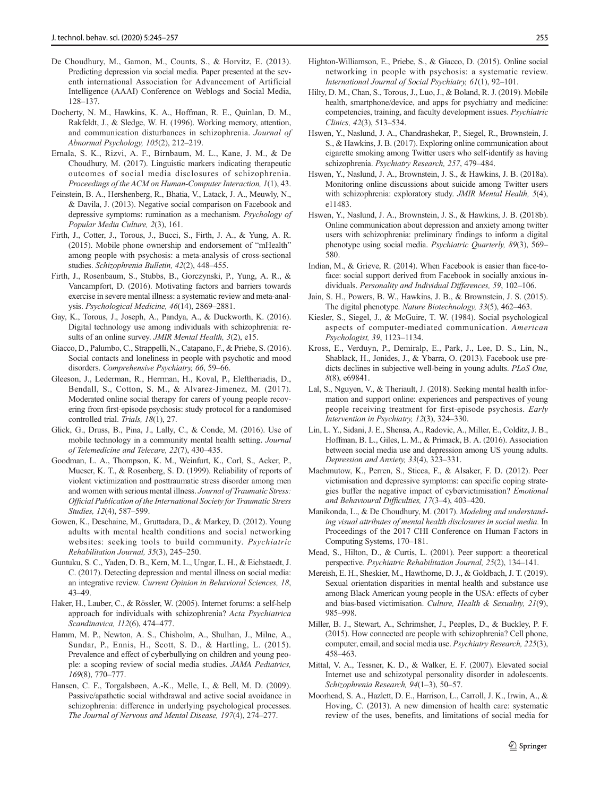- <span id="page-10-0"></span>De Choudhury, M., Gamon, M., Counts, S., & Horvitz, E. (2013). Predicting depression via social media. Paper presented at the seventh international Association for Advancement of Artificial Intelligence (AAAI) Conference on Weblogs and Social Media, 128–137.
- Docherty, N. M., Hawkins, K. A., Hoffman, R. E., Quinlan, D. M., Rakfeldt, J., & Sledge, W. H. (1996). Working memory, attention, and communication disturbances in schizophrenia. Journal of Abnormal Psychology, 105(2), 212–219.
- Ernala, S. K., Rizvi, A. F., Birnbaum, M. L., Kane, J. M., & De Choudhury, M. (2017). Linguistic markers indicating therapeutic outcomes of social media disclosures of schizophrenia. Proceedings of the ACM on Human-Computer Interaction, 1(1), 43.
- Feinstein, B. A., Hershenberg, R., Bhatia, V., Latack, J. A., Meuwly, N., & Davila, J. (2013). Negative social comparison on Facebook and depressive symptoms: rumination as a mechanism. Psychology of Popular Media Culture, 2(3), 161.
- Firth, J., Cotter, J., Torous, J., Bucci, S., Firth, J. A., & Yung, A. R. (2015). Mobile phone ownership and endorsement of "mHealth" among people with psychosis: a meta-analysis of cross-sectional studies. Schizophrenia Bulletin, 42(2), 448–455.
- Firth, J., Rosenbaum, S., Stubbs, B., Gorczynski, P., Yung, A. R., & Vancampfort, D. (2016). Motivating factors and barriers towards exercise in severe mental illness: a systematic review and meta-analysis. Psychological Medicine, 46(14), 2869–2881.
- Gay, K., Torous, J., Joseph, A., Pandya, A., & Duckworth, K. (2016). Digital technology use among individuals with schizophrenia: results of an online survey. JMIR Mental Health, 3(2), e15.
- Giacco, D., Palumbo, C., Strappelli, N., Catapano, F., & Priebe, S. (2016). Social contacts and loneliness in people with psychotic and mood disorders. Comprehensive Psychiatry, 66, 59–66.
- Gleeson, J., Lederman, R., Herrman, H., Koval, P., Eleftheriadis, D., Bendall, S., Cotton, S. M., & Alvarez-Jimenez, M. (2017). Moderated online social therapy for carers of young people recovering from first-episode psychosis: study protocol for a randomised controlled trial. Trials, 18(1), 27.
- Glick, G., Druss, B., Pina, J., Lally, C., & Conde, M. (2016). Use of mobile technology in a community mental health setting. Journal of Telemedicine and Telecare, 22(7), 430–435.
- Goodman, L. A., Thompson, K. M., Weinfurt, K., Corl, S., Acker, P., Mueser, K. T., & Rosenberg, S. D. (1999). Reliability of reports of violent victimization and posttraumatic stress disorder among men and women with serious mental illness. Journal of Traumatic Stress: Official Publication of the International Society for Traumatic Stress Studies, 12(4), 587–599.
- Gowen, K., Deschaine, M., Gruttadara, D., & Markey, D. (2012). Young adults with mental health conditions and social networking websites: seeking tools to build community. Psychiatric Rehabilitation Journal, 35(3), 245–250.
- Guntuku, S. C., Yaden, D. B., Kern, M. L., Ungar, L. H., & Eichstaedt, J. C. (2017). Detecting depression and mental illness on social media: an integrative review. Current Opinion in Behavioral Sciences, 18, 43–49.
- Haker, H., Lauber, C., & Rössler, W. (2005). Internet forums: a self-help approach for individuals with schizophrenia? Acta Psychiatrica Scandinavica, 112(6), 474–477.
- Hamm, M. P., Newton, A. S., Chisholm, A., Shulhan, J., Milne, A., Sundar, P., Ennis, H., Scott, S. D., & Hartling, L. (2015). Prevalence and effect of cyberbullying on children and young people: a scoping review of social media studies. JAMA Pediatrics, 169(8), 770–777.
- Hansen, C. F., Torgalsbøen, A.-K., Melle, I., & Bell, M. D. (2009). Passive/apathetic social withdrawal and active social avoidance in schizophrenia: difference in underlying psychological processes. The Journal of Nervous and Mental Disease, 197(4), 274–277.
- Highton-Williamson, E., Priebe, S., & Giacco, D. (2015). Online social networking in people with psychosis: a systematic review. International Journal of Social Psychiatry, 61(1), 92–101.
- Hilty, D. M., Chan, S., Torous, J., Luo, J., & Boland, R. J. (2019). Mobile health, smartphone/device, and apps for psychiatry and medicine: competencies, training, and faculty development issues. Psychiatric Clinics, 42(3), 513–534.
- Hswen, Y., Naslund, J. A., Chandrashekar, P., Siegel, R., Brownstein, J. S., & Hawkins, J. B. (2017). Exploring online communication about cigarette smoking among Twitter users who self-identify as having schizophrenia. Psychiatry Research, 257, 479–484.
- Hswen, Y., Naslund, J. A., Brownstein, J. S., & Hawkins, J. B. (2018a). Monitoring online discussions about suicide among Twitter users with schizophrenia: exploratory study. JMIR Mental Health, 5(4), e11483.
- Hswen, Y., Naslund, J. A., Brownstein, J. S., & Hawkins, J. B. (2018b). Online communication about depression and anxiety among twitter users with schizophrenia: preliminary findings to inform a digital phenotype using social media. Psychiatric Quarterly, 89(3), 569– 580.
- Indian, M., & Grieve, R. (2014). When Facebook is easier than face-toface: social support derived from Facebook in socially anxious individuals. Personality and Individual Differences, 59, 102–106.
- Jain, S. H., Powers, B. W., Hawkins, J. B., & Brownstein, J. S. (2015). The digital phenotype. Nature Biotechnology, 33(5), 462–463.
- Kiesler, S., Siegel, J., & McGuire, T. W. (1984). Social psychological aspects of computer-mediated communication. American Psychologist, 39, 1123–1134.
- Kross, E., Verduyn, P., Demiralp, E., Park, J., Lee, D. S., Lin, N., Shablack, H., Jonides, J., & Ybarra, O. (2013). Facebook use predicts declines in subjective well-being in young adults. PLoS One, 8(8), e69841.
- Lal, S., Nguyen, V., & Theriault, J. (2018). Seeking mental health information and support online: experiences and perspectives of young people receiving treatment for first-episode psychosis. Early Intervention in Psychiatry, 12(3), 324–330.
- Lin, L. Y., Sidani, J. E., Shensa, A., Radovic, A., Miller, E., Colditz, J. B., Hoffman, B. L., Giles, L. M., & Primack, B. A. (2016). Association between social media use and depression among US young adults. Depression and Anxiety, 33(4), 323–331.
- Machmutow, K., Perren, S., Sticca, F., & Alsaker, F. D. (2012). Peer victimisation and depressive symptoms: can specific coping strategies buffer the negative impact of cybervictimisation? Emotional and Behavioural Difficulties, 17(3–4), 403–420.
- Manikonda, L., & De Choudhury, M. (2017). Modeling and understanding visual attributes of mental health disclosures in social media. In Proceedings of the 2017 CHI Conference on Human Factors in Computing Systems, 170–181.
- Mead, S., Hilton, D., & Curtis, L. (2001). Peer support: a theoretical perspective. Psychiatric Rehabilitation Journal, 25(2), 134–141.
- Mereish, E. H., Sheskier, M., Hawthorne, D. J., & Goldbach, J. T. (2019). Sexual orientation disparities in mental health and substance use among Black American young people in the USA: effects of cyber and bias-based victimisation. Culture, Health & Sexuality, 21(9), 985–998.
- Miller, B. J., Stewart, A., Schrimsher, J., Peeples, D., & Buckley, P. F. (2015). How connected are people with schizophrenia? Cell phone, computer, email, and social media use. Psychiatry Research, 225(3), 458–463.
- Mittal, V. A., Tessner, K. D., & Walker, E. F. (2007). Elevated social Internet use and schizotypal personality disorder in adolescents. Schizophrenia Research, 94(1–3), 50–57.
- Moorhead, S. A., Hazlett, D. E., Harrison, L., Carroll, J. K., Irwin, A., & Hoving, C. (2013). A new dimension of health care: systematic review of the uses, benefits, and limitations of social media for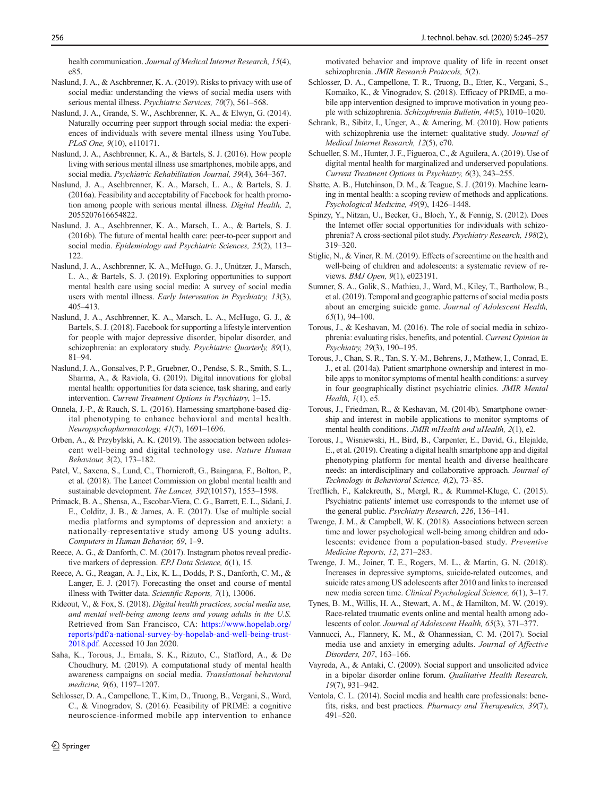<span id="page-11-0"></span>health communication. Journal of Medical Internet Research, 15(4), e85.

- Naslund, J. A., & Aschbrenner, K. A. (2019). Risks to privacy with use of social media: understanding the views of social media users with serious mental illness. Psychiatric Services, 70(7), 561-568.
- Naslund, J. A., Grande, S. W., Aschbrenner, K. A., & Elwyn, G. (2014). Naturally occurring peer support through social media: the experiences of individuals with severe mental illness using YouTube. PLoS One, 9(10), e110171.
- Naslund, J. A., Aschbrenner, K. A., & Bartels, S. J. (2016). How people living with serious mental illness use smartphones, mobile apps, and social media. Psychiatric Rehabilitation Journal, 39(4), 364–367.
- Naslund, J. A., Aschbrenner, K. A., Marsch, L. A., & Bartels, S. J. (2016a). Feasibility and acceptability of Facebook for health promotion among people with serious mental illness. Digital Health, 2, 2055207616654822.
- Naslund, J. A., Aschbrenner, K. A., Marsch, L. A., & Bartels, S. J. (2016b). The future of mental health care: peer-to-peer support and social media. Epidemiology and Psychiatric Sciences, 25(2), 113– 122.
- Naslund, J. A., Aschbrenner, K. A., McHugo, G. J., Unützer, J., Marsch, L. A., & Bartels, S. J. (2019). Exploring opportunities to support mental health care using social media: A survey of social media users with mental illness. Early Intervention in Psychiatry, 13(3), 405–413.
- Naslund, J. A., Aschbrenner, K. A., Marsch, L. A., McHugo, G. J., & Bartels, S. J. (2018). Facebook for supporting a lifestyle intervention for people with major depressive disorder, bipolar disorder, and schizophrenia: an exploratory study. Psychiatric Quarterly, 89(1), 81–94.
- Naslund, J. A., Gonsalves, P. P., Gruebner, O., Pendse, S. R., Smith, S. L., Sharma, A., & Raviola, G. (2019). Digital innovations for global mental health: opportunities for data science, task sharing, and early intervention. Current Treatment Options in Psychiatry, 1–15.
- Onnela, J.-P., & Rauch, S. L. (2016). Harnessing smartphone-based digital phenotyping to enhance behavioral and mental health. Neuropsychopharmacology, 41(7), 1691–1696.
- Orben, A., & Przybylski, A. K. (2019). The association between adolescent well-being and digital technology use. Nature Human Behaviour, 3(2), 173–182.
- Patel, V., Saxena, S., Lund, C., Thornicroft, G., Baingana, F., Bolton, P., et al. (2018). The Lancet Commission on global mental health and sustainable development. The Lancet, 392(10157), 1553–1598.
- Primack, B. A., Shensa, A., Escobar-Viera, C. G., Barrett, E. L., Sidani, J. E., Colditz, J. B., & James, A. E. (2017). Use of multiple social media platforms and symptoms of depression and anxiety: a nationally-representative study among US young adults. Computers in Human Behavior, 69, 1–9.
- Reece, A. G., & Danforth, C. M. (2017). Instagram photos reveal predictive markers of depression. EPJ Data Science, 6(1), 15.
- Reece, A. G., Reagan, A. J., Lix, K. L., Dodds, P. S., Danforth, C. M., & Langer, E. J. (2017). Forecasting the onset and course of mental illness with Twitter data. Scientific Reports, 7(1), 13006.
- Rideout, V., & Fox, S. (2018). Digital health practices, social media use, and mental well-being among teens and young adults in the U.S. Retrieved from San Francisco, CA: [https://www.hopelab.org/](https://doi.org/https://www.hopelab.org/reports/pdf/aational-urveyyopelabnd-elleing-rustpdf) [reports/pdf/a-national-survey-by-hopelab-and-well-being-trust-](https://doi.org/https://www.hopelab.org/reports/pdf/aational-urveyyopelabnd-elleing-rustpdf)[2018.pdf](https://doi.org/https://www.hopelab.org/reports/pdf/aational-urveyyopelabnd-elleing-rustpdf). Accessed 10 Jan 2020.
- Saha, K., Torous, J., Ernala, S. K., Rizuto, C., Stafford, A., & De Choudhury, M. (2019). A computational study of mental health awareness campaigns on social media. Translational behavioral medicine, 9(6), 1197–1207.
- Schlosser, D. A., Campellone, T., Kim, D., Truong, B., Vergani, S., Ward, C., & Vinogradov, S. (2016). Feasibility of PRIME: a cognitive neuroscience-informed mobile app intervention to enhance

motivated behavior and improve quality of life in recent onset schizophrenia. JMIR Research Protocols, 5(2).

- Schlosser, D. A., Campellone, T. R., Truong, B., Etter, K., Vergani, S., Komaiko, K., & Vinogradov, S. (2018). Efficacy of PRIME, a mobile app intervention designed to improve motivation in young people with schizophrenia. Schizophrenia Bulletin, 44(5), 1010–1020.
- Schrank, B., Sibitz, I., Unger, A., & Amering, M. (2010). How patients with schizophrenia use the internet: qualitative study. Journal of Medical Internet Research, 12(5), e70.
- Schueller, S. M., Hunter, J. F., Figueroa, C., & Aguilera, A. (2019). Use of digital mental health for marginalized and underserved populations. Current Treatment Options in Psychiatry, 6(3), 243–255.
- Shatte, A. B., Hutchinson, D. M., & Teague, S. J. (2019). Machine learning in mental health: a scoping review of methods and applications. Psychological Medicine, 49(9), 1426–1448.
- Spinzy, Y., Nitzan, U., Becker, G., Bloch, Y., & Fennig, S. (2012). Does the Internet offer social opportunities for individuals with schizophrenia? A cross-sectional pilot study. Psychiatry Research, 198(2), 319–320.
- Stiglic, N., & Viner, R. M. (2019). Effects of screentime on the health and well-being of children and adolescents: a systematic review of reviews. BMJ Open, 9(1), e023191.
- Sumner, S. A., Galik, S., Mathieu, J., Ward, M., Kiley, T., Bartholow, B., et al. (2019). Temporal and geographic patterns of social media posts about an emerging suicide game. Journal of Adolescent Health, 65(1), 94–100.
- Torous, J., & Keshavan, M. (2016). The role of social media in schizophrenia: evaluating risks, benefits, and potential. Current Opinion in Psychiatry, 29(3), 190–195.
- Torous, J., Chan, S. R., Tan, S. Y.-M., Behrens, J., Mathew, I., Conrad, E. J., et al. (2014a). Patient smartphone ownership and interest in mobile apps to monitor symptoms of mental health conditions: a survey in four geographically distinct psychiatric clinics. JMIR Mental Health, 1(1), e5.
- Torous, J., Friedman, R., & Keshavan, M. (2014b). Smartphone ownership and interest in mobile applications to monitor symptoms of mental health conditions. JMIR mHealth and uHealth, 2(1), e2.
- Torous, J., Wisniewski, H., Bird, B., Carpenter, E., David, G., Elejalde, E., et al. (2019). Creating a digital health smartphone app and digital phenotyping platform for mental health and diverse healthcare needs: an interdisciplinary and collaborative approach. Journal of Technology in Behavioral Science, 4(2), 73–85.
- Trefflich, F., Kalckreuth, S., Mergl, R., & Rummel-Kluge, C. (2015). Psychiatric patients' internet use corresponds to the internet use of the general public. Psychiatry Research, 226, 136–141.
- Twenge, J. M., & Campbell, W. K. (2018). Associations between screen time and lower psychological well-being among children and adolescents: evidence from a population-based study. Preventive Medicine Reports, 12, 271–283.
- Twenge, J. M., Joiner, T. E., Rogers, M. L., & Martin, G. N. (2018). Increases in depressive symptoms, suicide-related outcomes, and suicide rates among US adolescents after 2010 and links to increased new media screen time. Clinical Psychological Science, 6(1), 3–17.
- Tynes, B. M., Willis, H. A., Stewart, A. M., & Hamilton, M. W. (2019). Race-related traumatic events online and mental health among adolescents of color. Journal of Adolescent Health, 65(3), 371–377.
- Vannucci, A., Flannery, K. M., & Ohannessian, C. M. (2017). Social media use and anxiety in emerging adults. Journal of Affective Disorders, 207, 163–166.
- Vayreda, A., & Antaki, C. (2009). Social support and unsolicited advice in a bipolar disorder online forum. Qualitative Health Research, 19(7), 931–942.
- Ventola, C. L. (2014). Social media and health care professionals: benefits, risks, and best practices. Pharmacy and Therapeutics, 39(7), 491–520.